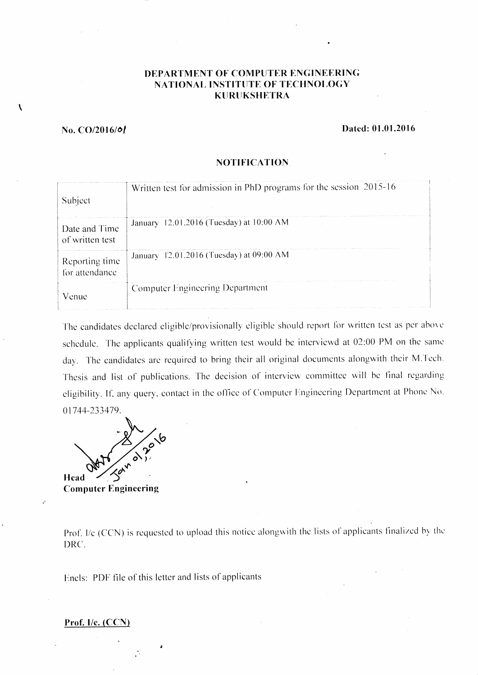# DEPARTMENT OF COMPUTER ENGINEERING NATIONAL INSTITUTE OF TECHNOLOGY KURUKSHETRA

### $No. CO/2016/01$

 $\mathbf{v}$ 

## Dated: 01.01.2016

#### **NOTIFICATION**

| Subject                          | Written test for admission in PhD programs for the session 2015-16 |
|----------------------------------|--------------------------------------------------------------------|
| Date and Time<br>of written test | January 12.01.2016 (Tuesday) at 10:00 AM                           |
| Reporting time<br>for attendance | January 12.01.2016 (Tuesday) at 09:00 AM                           |
| Venue                            | Computer Engineering Department                                    |

The candidates declared eligible/provisionally eligible should report for written test as per above schedule. The applicants qualifying written test would be interviewd at 02:00 PM on the same day. The candidates are required to bring their all original documents alongwith their M.Tech. Thesis and list of publications. The decision of interview committee will be final regarding eligibility. If, any query, contact in the office of Computer Engineering Department at Phone No. 01744-233479.

**Head** 

**Computer Engineering** 

Prof. I/c (CCN) is requested to upload this notice alongwith the lists of applicants finalized by the DRC.

Encls: PDF file of this letter and lists of applicants

#### Prof. I/c. (CCN)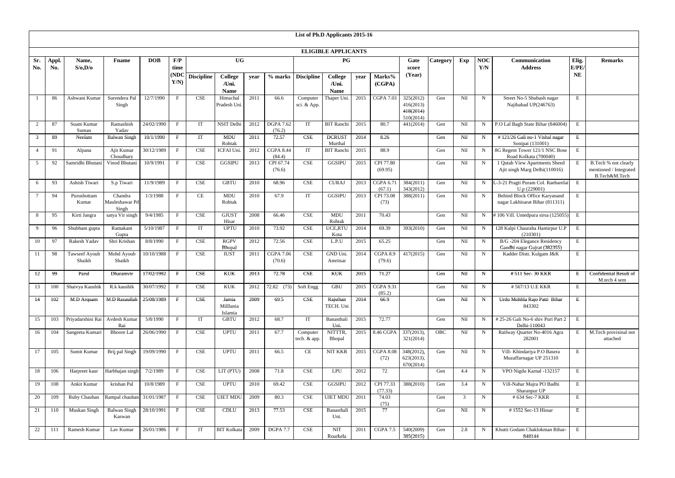|                |              |                                                  |                                    |                      |              |                             |                                        |      |                            |                          | List of Ph.D Applicants 2015-16 |      |                          |                                                  |          |     |                   |                                                                  |               |                                                                 |
|----------------|--------------|--------------------------------------------------|------------------------------------|----------------------|--------------|-----------------------------|----------------------------------------|------|----------------------------|--------------------------|---------------------------------|------|--------------------------|--------------------------------------------------|----------|-----|-------------------|------------------------------------------------------------------|---------------|-----------------------------------------------------------------|
|                |              |                                                  |                                    |                      |              |                             |                                        |      |                            |                          | <b>ELIGIBLE APPLICANTS</b>      |      |                          |                                                  |          |     |                   |                                                                  |               |                                                                 |
| Sr.<br>No.     | Appl.<br>No. | Name,<br>S/O, D/O                                | <b>F</b> name                      | <b>DOB</b>           | F/P<br>time  |                             | <b>UG</b>                              |      |                            |                          | P G                             |      |                          | Gate<br>score                                    | Category | Exp | <b>NOC</b><br>Y/N | Communication<br><b>Address</b>                                  | Elig.<br>E/PE | <b>Remarks</b>                                                  |
|                |              |                                                  |                                    |                      | (ND()<br>Y/N | <b>Discipline</b>           | <b>College</b><br>/Uni.<br><b>Name</b> | year |                            | $%$ marks Discipline     | College<br>/Uni.<br><b>Name</b> | vear | Marks%<br>(CGPA)         | (Year)                                           |          |     |                   |                                                                  | <b>NE</b>     |                                                                 |
|                | 86           | Ashwani Kumar                                    | Surendera Pal<br>Singh             | 12/7/1990            | $\mathbf{F}$ | CSE                         | Himachal<br>Pradesh Uni.               | 2011 | 66.6                       | Computer<br>sci. & App.  | Thaper Uni                      | 2015 | <b>CGPA 7.03</b>         | 325(2012)<br>416(2013)<br>418(2014)<br>510(2014) | Gen      | Nil | $\mathbf N$       | Street No-5 Shubash nagar<br>Najibabad UP(246763)                | E             |                                                                 |
| $\overline{2}$ | 87           | Suam Kumar<br>Suman                              | Ramashish<br>Yadav                 | 24/02/1990           | F            | IT                          | <b>NSIT Delhi</b>                      | 2012 | <b>DGPA 7.62</b><br>(76.2) | IT                       | <b>BIT</b> Ranchi               | 2015 | 80.7                     | 441(2014)                                        | Gen      | Nil | $\mathbf N$       | P.O Lal Bagh State Bihar (846004)                                | ${\bf E}$     |                                                                 |
| 3              | 89           | Neelam                                           | <b>Balwan Singh</b>                | 10/1/1990            | $\mathbf{F}$ | IT                          | <b>MDU</b><br>Rohtak                   | 2011 | 72.57                      | <b>CSE</b>               | <b>DCRUST</b><br>Murthal        | 2014 | 8.26                     |                                                  | Gen      | Nil | N                 | #121/26 Gali no-1 Vishal nagar<br>Sonipat (131001)               | E             |                                                                 |
|                | 91           | Alpana                                           | Ajit Kumar<br>Choudhary            | 30/12/1989           | $\mathbf{F}$ | CSE                         | <b>ICFAI Uni</b>                       | 2012 | <b>CGPA 8.44</b><br>(84.4) | IT                       | <b>BIT Ranchi</b>               | 2015 | 88.9                     |                                                  | Gen      | Nil | N                 | 8G Regent Tower 121/1 NSC Bose<br>Road Kolkata (700040)          | E             |                                                                 |
| 5              | 92           | Samridhi Bhutani                                 | Vinod Bhutani                      | 10/9/1991            | $\mathbf{F}$ | <b>CSE</b>                  | <b>GGSIPU</b>                          | 2013 | CPI 67.74<br>(76.6)        | <b>CSE</b>               | <b>GGSIPU</b>                   | 2015 | CPI 77.80<br>(69.95)     |                                                  | Gen      | Nil | $\mathbf N$       | 1 Qutab View Apartments Sheed<br>Ajit singh Marg Delhi(110016)   | E             | B.Tech % not clearly<br>mentioned / Integrated<br>B.Tech&M.Tech |
| 6              | 93           | Ashish Tiwari                                    | S.p Tiwari                         | 11/9/1989            | F            | CSE                         | <b>GBTU</b>                            | 2010 | 68.96                      | <b>CSE</b>               | <b>CURAJ</b>                    | 2013 | CGPA 6.71<br>(67.1)      | 384(2011)<br>343(2012)                           | Gen      | Nil | $\mathbf N$       | L-3-21 Pragti Puram Col. Raebarelai<br>$U.p$ (229001)            | E             |                                                                 |
| 7              | 94           | Purushottam<br>Kumar                             | Chandra<br>Mauleshawar Pd<br>Singh | 1/3/1988             | $\mathbf{F}$ | CE                          | <b>MDU</b><br>Rohtak                   | 2010 | 67.9                       | IT                       | <b>GGSIPU</b>                   | 2013 | CPI 73.08<br>(73)        | 388(2011)                                        | Gen      | Nil | $\mathbf N$       | Behind Block Office Karyanand<br>nagar Lakhisarat Bihar (811311) | E             |                                                                 |
| 8              | 95           | Kirti Jangra                                     | satya Vir singh                    | 9/4/1985             | F            | <b>CSE</b>                  | <b>GJUST</b><br>Hisar                  | 2008 | 66.46                      | <b>CSE</b>               | <b>MDU</b><br>Rohtak            | 2011 | 70.43                    |                                                  | Gen      | Nil | N                 | #106 Vill. Umedpura sirsa (125055)                               | $\,$ E        |                                                                 |
| 9              | 96           | Shubham gupta                                    | Ramakant<br>Gupta                  | 5/10/1987            | $\mathbf{F}$ | IT                          | <b>UPTU</b>                            | 2010 | 73.92                      | <b>CSE</b>               | UCE,RTU<br>Kota                 | 2014 | 69.39                    | 393(2010)                                        | Gen      | Nil | $\mathbf N$       | 128 Kalpi Chauraha Hamirpur U.P<br>(210301)                      | $\mathbf E$   |                                                                 |
| 10             | 97           | Rakesh Yadav                                     | Shri Krishan                       | 8/8/1990             | $\mathbf{F}$ | CSE                         | <b>RGPV</b><br>Bhopal                  | 2012 | 72.56                      | <b>CSE</b>               | L.P.U                           | 2015 | 65.25                    |                                                  | Gen      | Nil | $\mathbf N$       | B/G-204 Elegance Residency<br>Gandhi nagar Gujrat (382355)       | E             |                                                                 |
| 11             | 98           | Tawseef Ayoub<br>Shaikh                          | Mohd Ayoub<br>Shaikh               | 10/10/1988           | $\mathbf{F}$ | <b>CSE</b>                  | <b>IUST</b>                            | 2011 | <b>CGPA 7.06</b><br>(70.6) | $\overline{\text{CSE}}$  | GND Uni.<br>Amritsar            | 2014 | CGPA 8.9<br>(79.6)       | 417(2015)                                        | Gen      | Nil | $\mathbf N$       | Kadder Distt. Kulgam J&K                                         | E             |                                                                 |
| 12             | 99           | Parul                                            | Dharamvir                          | 17/02/1992           | $\mathbf{F}$ | $\ensuremath{\mathbf{CSE}}$ | <b>KUK</b>                             | 2013 | 72.78                      | CSE                      | <b>KUK</b>                      | 2015 | 71.27                    |                                                  | Gen      | Nil | $\mathbf N$       | #511 Sec-30 KKR                                                  | E             | Confidential Result of<br>M.tech 4 sem                          |
| 13             |              | 100   Shaivya Kaushik   R.k kaushik   30/07/1992 |                                    |                      | $\mathbf{F}$ | $\ensuremath{\mathsf{CSE}}$ | <b>KUK</b>                             |      | 2012 72.82 (73) Soft Engg  |                          | $\operatorname{GBU}$            |      | 2015 CGPA 9.31<br>(85.2) |                                                  | Gen      | Nil | $\mathbf N$       | #567/13 U.E KKR                                                  | $E_{\rm{L}}$  |                                                                 |
| 14             | 102          | M.D Arquam                                       | M.D Razaullah                      | 25/08/1989           | $\mathbf{F}$ | <b>CSE</b>                  | Jamia<br>Milllania<br>Islamia          | 2009 | 69.5                       | <b>CSE</b>               | Rajsthan<br>TECH. Uni           | 2014 | 66.9                     |                                                  | Gen      | Nil | $\mathbf N$       | Urdu Mohhla Rajo Patti Bihar<br>843302                           | E             |                                                                 |
| 15             | 103          | Priyadarshini Rai                                | Avdesh Kumar<br>Rai                | 5/8/1990             | F            | IT                          | <b>GBTU</b>                            | 2012 | 68.7                       | IT                       | Banasthali<br>Uni.              | 2015 | 72.77                    |                                                  | Gen      | Nil | N                 | #25-26 Gali No-6 shiv Puri Part 2<br>Delhi-110043                | E             |                                                                 |
| 16             | 104          | Sangeeta Kumari                                  | <b>Bhoore Lal</b>                  | 26/06/1990           | $\mathbf{F}$ | <b>CSE</b>                  | <b>UPTU</b>                            | 2011 | 67.7                       | Computer<br>tech. & app. | NITTTR,<br>Bhopal               |      | 2015 8.46 CGPA           | 337(2013),<br>321(2014)                          | OBC      | Nil | $\mathbf N$       | Railway Quarter No-4016 Agra<br>282001                           | E             | M.Tech provisinal not<br>attached                               |
| 17             | 105          | Sumit Kumar                                      | Brij pal Singh                     | $\frac{19}{09/1990}$ | F            | CSE                         | <b>UPTU</b>                            | 2011 | 66.5                       | CE                       | NIT KKR                         | 2015 | <b>CGPA 8.08</b><br>(72) | 348(2012),<br>623(2013),<br>670(2014)            | Gen      | Nil | $\mathbf N$       | Vill- Khindariya P.O Basera<br>Muzaffarnagar UP 251310           | E             |                                                                 |
| 18             | 106          | Harpreet kaur                                    | Harbhajan singh                    | 7/2/1989             | $\mathbf{F}$ | <b>CSE</b>                  | LIT (PTU)                              | 2008 | 71.8                       | <b>CSE</b>               | LPU                             | 2012 | 72                       |                                                  | Gen      | 4.4 | $\mathbf N$       | VPO Nigdu Karnal -132157                                         | E             |                                                                 |
| 19             | 108          | Ankit Kumar                                      | krishan Pal                        | 10/8/1989            | $\mathbf{F}$ | CSE                         | <b>UPTU</b>                            | 2010 | 69.42                      | <b>CSE</b>               | <b>GGSIPU</b>                   | 2012 | CPI 77.33<br>(77.33)     | 388(2010)                                        | Gen      | 3.4 | $\mathbf N$       | Vill-Nahar Majra PO Badhi<br>Sharanpur UP                        | E             |                                                                 |
| 20             | 109          | Ruby Chauhan Rampal chauhan 31/01/1987           |                                    |                      | $\mathbf{F}$ | CSE                         | <b>UIET MDU</b>                        | 2009 | 80.3                       | <b>CSE</b>               | <b>UIET MDU</b>                 | 2011 | 74.03<br>(75)            |                                                  | Gen      | 3   | $\mathbf N$       | # 634 Sec-7 KKR                                                  | $\mathbf E$   |                                                                 |
| 21             | 110          | Muskan Singh                                     | <b>Balwan Singh</b><br>Kaswan      | 28/10/1991           | $\mathbf{F}$ | <b>CSE</b>                  | $\text{\bf CDLU}$                      | 2013 | 77.53                      | <b>CSE</b>               | Banasthali<br>Uni.              | 2015 | 77                       |                                                  | Gen      | Nil | N                 | #1552 Sec-13 Hissar                                              | $\mathbf E$   |                                                                 |
| 22             | 111          | Ramesh Kumar                                     | Lav Kumar                          | 26/01/1986           | $\mathbf{F}$ | IT                          | <b>BIT Kolkata</b>                     | 2009 | <b>DGPA 7.7</b>            | <b>CSE</b>               | <b>NIT</b><br>Rourkela          | 2011 | <b>CGPA 7.5</b>          | 540(2009)<br>385(2015)                           | Gen      | 2.8 | $\mathbf N$       | Khutti Godam Chaklokman Bihar-<br>848144                         | E             |                                                                 |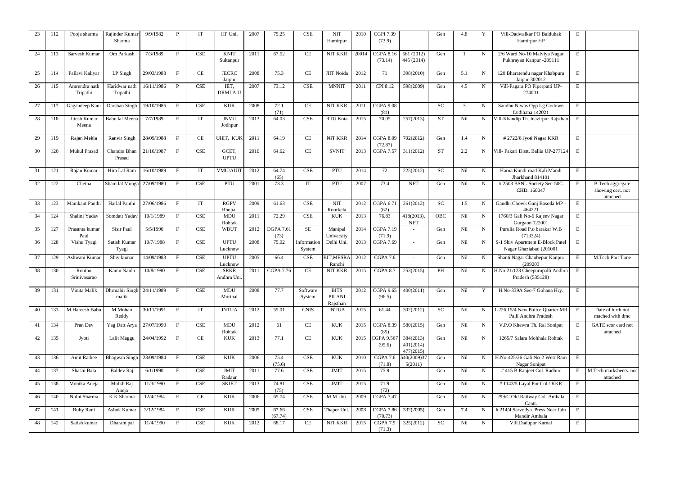| 23 | 112 | Pooja sharma              | Rajinder Kumar<br>Sharma           | 9/9/1982   | P            | IT                          | HP Uni.                          | 2007 | 75.25                    | <b>CSE</b>            | <b>NIT</b><br>Hamirpur                   | 2010  | <b>CGPI 7.39</b><br>(73.9)  |                                     | Gen        | 4.8 |             | Vill-Dadwalkar PO Balduhak<br>Hamirpur HP                   | E            |                                                          |
|----|-----|---------------------------|------------------------------------|------------|--------------|-----------------------------|----------------------------------|------|--------------------------|-----------------------|------------------------------------------|-------|-----------------------------|-------------------------------------|------------|-----|-------------|-------------------------------------------------------------|--------------|----------------------------------------------------------|
| 24 | 113 | Sarvesh Kumar             | Om Parkash                         | 7/3/1989   | $\mathbf{F}$ | <b>CSE</b>                  | <b>KNIT</b><br>Sultanpur         | 2011 | 67.52                    | $\rm CE$              | NIT KKR                                  | 20014 | <b>CGPA 8.16</b><br>(73.14) | 561 (2012)<br>445 (2014)            | Gen        |     | $\mathbf N$ | 2/6 Ward No-10 Malviya Nagar<br>Pukhrayan Kanpur -209111    | E            |                                                          |
| 25 | 114 | Pallavi Kaliyar           | $\overline{I.P}$ Singh             | 29/03/1988 | $\mathbf{F}$ | CE                          | <b>JECRC</b><br>Jaipur           | 2008 | 75.3                     | <b>CE</b>             | <b>JIIT Noida</b>                        | 2012  | 71                          | 398(2010)                           | Gen        | 5.1 | N           | 120 Bharatendu nagar Khabpura<br>Jaipur-302012              | Ε            |                                                          |
| 26 | 115 | Amrendra nath<br>Tripathi | Haridwar nath<br>Tripathi          | 16/11/1986 | $\mathbf{P}$ | CSE                         | IET,<br><b>DRMLAU</b>            | 2007 | 73.12                    | <b>CSE</b>            | <b>MNNIT</b>                             | 2011  | CPI 8.12                    | 598(2009)                           | Gen        | 4.5 | $\mathbf N$ | Vill-Pagara PO Piperpatti UP-<br>274001                     | ${\bf E}$    |                                                          |
| 27 | 117 | Gagandeep Kaur            | Darshan Singh                      | 19/10/1986 | $\mathbf{F}$ | $\ensuremath{\mathsf{CSE}}$ | $\ensuremath{\text{KUK}}\xspace$ | 2008 | 72.1<br>(71)             | CE                    | <b>NIT KKR</b>                           | 2011  | <b>CGPA 9.08</b><br>(81)    |                                     | <b>SC</b>  | 3   | N           | Sandhu Niwas Opp Lg Godown<br>Ludihana 142021               | Е            |                                                          |
| 28 | 118 | Jitesh Kumar<br>Meena     | Babu lal Meena                     | 7/7/1989   | $\mathbf{F}$ | IT                          | <b>JNVU</b><br>Jodhpur           | 2013 | 64.03                    | <b>CSE</b>            | <b>RTU Kota</b>                          | 2015  | 70.05                       | 257(2013)                           | <b>ST</b>  | Nil |             | Vill-Khandip Th. Inazirpur Rajsthan                         | E            |                                                          |
| 29 | 119 | Rajan Mehla               | <b>Ranvir Singh</b>                | 28/09/1988 | $\mathbf{F}$ | <b>CE</b>                   | UIET, KUK                        | 2011 | 64.19                    | CE                    | <b>NIT KKR</b>                           | 2014  | <b>CGPA 8.09</b><br>(72.87) | 702(2012)                           | Gen        | 1.4 | $\mathbf N$ | #2722/6 Jyoti Nagar KKR                                     | E            |                                                          |
| 30 | 120 | <b>Mukul Prasad</b>       | Chandra Bhan<br>Prasad             | 21/10/1987 | $\mathbf{F}$ | $\ensuremath{\mathsf{CSE}}$ | GCET,<br><b>UPTU</b>             | 2010 | 64.62                    | $\rm CE$              | <b>SVNIT</b>                             | 2013  | <b>CGPA 7.57</b>            | 311(2012)                           | <b>ST</b>  | 2.2 | N           | Vill- Pakari Distt. Ballia UP-277124                        | E            |                                                          |
| 31 | 121 | Rajan Kumar               | Hira Lal Ram                       | 16/10/1989 | $\mathbf{F}$ | IT                          | VMU/AUIT                         | 2012 | 64.74<br>(65)            | <b>CSE</b>            | PTU                                      | 2014  | 72                          | 225(2012)                           | <b>SC</b>  | Nil | $\mathbf N$ | Harna Kundi road Kali Mandi<br>Jharkhand 814101             | E            |                                                          |
| 32 | 122 | Chetna                    | Sham lal Monga 27/09/1980          |            | $\mathbf{F}$ | <b>CSE</b>                  | PTU                              | 2001 | 73.3                     | IT                    | PTU                                      | 2007  | 73.4                        | <b>NET</b>                          | Gen        | Nil | N           | #2503 BSNL Society Sec-50C<br>CHD. 160047                   | E            | <b>B.Tech aggregate</b><br>showing cert. not<br>attached |
| 33 | 123 | Manikant Panthi           | Harlal Panthi                      | 27/06/1986 | $\mathbf{F}$ | <b>IT</b>                   | <b>RGPV</b><br>Bhopal            | 2009 | 61.63                    | <b>CSE</b>            | <b>NIT</b><br>Rourkela                   | 2012  | CGPA 6.71<br>(62)           | 261(2012)                           | <b>SC</b>  | 1.5 | $\mathbf N$ | Gandhi Chowk Ganj Basoda MP -<br>464221                     | E            |                                                          |
| 34 | 124 | Shalini Yadav             | Somdatt Yadav                      | 10/1/1989  | $\mathbf{F}$ | $\ensuremath{\mathsf{CSE}}$ | MDU<br>Rohtak                    | 2011 | 72.29                    | <b>CSE</b>            | KUK                                      | 2013  | 76.83                       | 418(2013),<br><b>NET</b>            | <b>OBC</b> | Nil | N           | 1760/3 Gali No-6 Rajeev Nagar<br>Gurgaon 122001             | Е            |                                                          |
| 35 | 127 | Prasanta kumar<br>Paul    | Sisir Paul                         | 5/5/1990   | $\mathbf{F}$ | $\ensuremath{\mathsf{CSE}}$ | <b>WBUT</b>                      | 2012 | <b>DGPA 7.61</b><br>(73) | <b>SE</b>             | Manipal<br>University                    | 2014  | <b>CGPA 7.19</b><br>(71.9)  |                                     | Gen        | Nil | $\mathbf N$ | Purulia Road P.o barakar W.B<br>(713324)                    | Ε            |                                                          |
| 36 | 128 | Vishu Tyagi               | Satish Kumar<br>Tyagi              | 10/7/1988  | $\mathbf{F}$ | CSE                         | <b>UPTU</b><br>Lucknow           | 2008 | 75.02                    | Information<br>System | Delhi Uni.                               | 2013  | <b>CGPA 7.69</b>            | $\overline{a}$                      | Gen        | Nil | $\mathbf N$ | S-1 Shiv Apartment E-Block Patel<br>Nagar Ghaziabad (201001 | E            |                                                          |
| 37 | 129 | Ashwani Kumar             | Shiv kumar                         | 14/09/1983 | $\mathbf{F}$ | <b>CSE</b>                  | <b>UPTU</b><br>Lucknow           | 2005 | 66.4                     | <b>CSE</b>            | <b>BIT, MESRA</b><br>Ranchi              | 2012  | CGPA 7.6                    |                                     | Gen        | Nil | $\mathbf N$ | Shanti Nagar Chaubepur Kanpur<br>(209203)                   | E            | M.Tech Part Time                                         |
| 38 | 130 | Routhu<br>Srinivasarao    | Kamu Naidu                         | 10/8/1990  | $\mathbf{F}$ | CSE                         | <b>SRKR</b><br>Andhra Uni.       | 2011 | CGPA 7.76                | <b>CE</b>             | NIT KKR                                  | 2015  | <b>CGPA 8.7</b>             | 253(2015)                           | <b>PH</b>  | Nil | N           | H.No-21/123 Cheepurupalli Andhra<br>Pradesh (535128)        | E            |                                                          |
| 39 | 131 | Vinita Malik              | Dhrmabir Singh 24/11/1989<br>malik |            | $\mathbf{F}$ | <b>CSE</b>                  | <b>MDU</b><br>Murthal            | 2008 | 77.7                     | Software<br>System    | <b>BITS</b><br><b>PILANI</b><br>Rajsthan | 2012  | <b>CGPA 9.65</b><br>(96.5)  | 400(2011)                           | Gen        | Nil | Y           | H.No-339A Sec-7 Gohana Hry.                                 | E            |                                                          |
| 40 | 133 | M.Hareesh Babu            | M.Mohan<br>Reddy                   | 30/11/1991 | $\mathbf{F}$ | IT                          | <b>JNTUA</b>                     | 2012 | 55.01                    | <b>CNIS</b>           | <b>JNTUA</b>                             | 2015  | 61.44                       | 302(2012)                           | SC         | Nil | $\mathbf N$ | 1-226,15/4 New Police Quarter MR<br>Palli Andhra Pradesh    | E            | Date of birth not<br>mached with dmc                     |
| 41 | 134 | Pran Dev                  | Yag Datt Arya                      | 27/07/1990 | $\mathbf{F}$ | CSE                         | MDU<br>Rohtak                    | 2012 | 61                       | CE                    | <b>KUK</b>                               | 2015  | <b>CGPA 8.39</b><br>(85)    | 580(2015)                           | Gen        | Nil | $\mathbf N$ | V.P.O Khewra Th. Rai Sonipat                                | E            | GATE scor card not<br>attached                           |
| 42 | 135 | Jyoti                     | Lalit Maggu                        | 24/04/1992 | $\mathbf{F}$ | CE                          | $\ensuremath{\text{KUK}}\xspace$ | 2013 | 77.1                     | CE                    | <b>KUK</b>                               | 2015  | CGPA 9.567<br>(95.6)        | 384(2013)<br>401(2014)<br>477(2015) | Gen        | Nil | $\mathbf N$ | 1265/7 Salara Mohhala Rohtak                                | E            |                                                          |
| 43 | 136 | Amit Rathee               | Bhagwan Singh 23/09/1984           |            | $\mathbf{F}$ | $\ensuremath{\mathsf{CSE}}$ | <b>KUK</b>                       | 2006 | 75.4<br>(75.6)           | <b>CSE</b>            | $\ensuremath{\text{KUK}}\xspace$         | 2010  | <b>CGPA 7.6</b><br>(71.8)   | 540(2009)37<br>5(2011)              | Gen        | Nil | $\mathbf N$ | H.No-425/26 Gali No-2 West Ram<br>Nagar Sonipat             | E            |                                                          |
| 44 | 137 | Shashi Bala               | Baldev Raj                         | 6/1/1990   | $\mathbf{F}$ | $\ensuremath{\mathsf{CSE}}$ | <b>JMIT</b><br>Radaur            | 2011 | 77.6                     | <b>CSE</b>            | $\bold{JMIT}$                            | 2015  | 75.9                        |                                     | Gen        | Nil | $\mathbf N$ | #415 B Ranjeet Col. Radhur                                  | E            | M.Tech marksheets.not<br>attached                        |
| 45 | 138 | Monika Aneja              | Mulkh Raj<br>Aneja                 | 11/3/1990  | $\mathbf{F}$ | $\ensuremath{\mathsf{CSE}}$ | <b>SKIET</b>                     | 2013 | 74.81<br>(75)            | <b>CSE</b>            | JMIT                                     | 2015  | 71.9<br>(72)                |                                     | Gen        | Nil | $\mathbf N$ | #1143/5 Layal Pur Col./ KKR                                 | E            |                                                          |
| 46 | 140 | Nidhi Sharma              | K.K Sharma                         | 12/4/1984  | $\mathbf{F}$ | CE                          | $\ensuremath{\text{KUK}}\xspace$ | 2006 | 65.74                    | <b>CSE</b>            | M.M.Uni.                                 | 2009  | <b>CGPA 7.47</b>            |                                     | Gen        | Nil | $\mathbf N$ | 299/C Old Railway Col. Ambala<br>Cantt.                     | E            |                                                          |
| 47 | 141 | Ruby Rani                 | Ashok Kumar                        | 3/12/1984  | $\mathbf{F}$ | $\ensuremath{\mathsf{CSE}}$ | $\rm KUK$                        | 2005 | 67.66<br>(67.74)         | <b>CSE</b>            | Thaper Uni.                              | 2008  | <b>CGPA 7.86</b><br>(70.73) | 332(2005)                           | Gen        | 7.4 | $\mathbf N$ | #214/4 Sarvodya Press Near Jain<br>Mandir Ambala            | E            |                                                          |
| 48 | 142 | Satish kumar              | Dharam pal                         | 11/4/1990  | $\mathbf F$  | CSE                         | $\ensuremath{\text{KUK}}\xspace$ | 2012 | 68.17                    | $\rm CE$              | NIT KKR                                  | 2015  | CGPA 7.9<br>(71.3)          | 325(2012)                           | SC         | Nil | N           | Vill.Dadupur Karnal                                         | $\, {\bf E}$ |                                                          |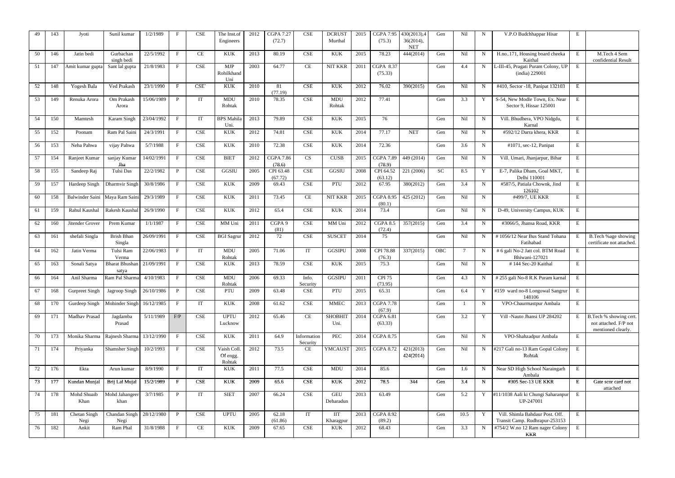| 49 | 143 | Jyoti                          | Sunil kumar                    | 1/2/1989   | $_{\rm F}$          | CSE                         | The Inst.of<br>Engineers         | 2012 | <b>CGPA 7.27</b><br>(72.7) | <b>CSE</b>                  | <b>DCRUST</b><br>Murthal         | 2015 | <b>CGPA 7.95</b><br>(75.3)         | 430(2013),4<br>36(2014),<br><b>NET</b> | Gen       | Nil  | N           | V.P.O Budchhappar Hisar                                           | E               |                                                                       |
|----|-----|--------------------------------|--------------------------------|------------|---------------------|-----------------------------|----------------------------------|------|----------------------------|-----------------------------|----------------------------------|------|------------------------------------|----------------------------------------|-----------|------|-------------|-------------------------------------------------------------------|-----------------|-----------------------------------------------------------------------|
| 50 | 146 | Jatin bedi                     | Gurbachan<br>singh bedi        | 22/5/1992  | $\mathbf{F}$        | CE                          | <b>KUK</b>                       | 2013 | 80.19                      | $\ensuremath{\mathsf{CSE}}$ | <b>KUK</b>                       | 2015 | 78.23                              | 444(2014)                              | Gen       | Nil  | N           | H.no171, Housing board cheeka<br>Kaithal                          | E               | M.Tech 4 Sem<br>confidential Result                                   |
| 51 | 147 | Amit kumar gupta               | Sant lal gupta                 | 21/8/1983  | $\mathbf{F}$        | CSE                         | <b>MJP</b><br>Rohilkhand<br>Uni  | 2003 | 64.77                      | CE                          | <b>NIT KKR</b>                   | 2011 | $\overline{C}$ GPA 8.37<br>(75.33) |                                        | Gen       | 4.4  | N           | L-III-45, Pragati Puram Colony, UP<br>(india) 229001              | E               |                                                                       |
| 52 | 148 | Yogesh Bala                    | Ved Prakash                    | 23/1/1990  | $\mathbf{F}$        | CSE <sup>-</sup>            | <b>KUK</b>                       | 2010 | 81<br>(77.19)              | <b>CSE</b>                  | $\ensuremath{\text{KUK}}\xspace$ | 2012 | 76.02                              | 390(2015)                              | Gen       | Nil  | $\mathbf N$ | #410, Sector -18, Panipat 132103                                  | E               |                                                                       |
| 53 | 149 | Renuka Arora                   | Om Prakash<br>Arora            | 15/06/1989 | $\mathbf{P}$        | IT                          | <b>MDU</b><br>Rohtak             | 2010 | 78.35                      | CSE                         | <b>MDU</b><br>Rohtak             | 2012 | 77.41                              |                                        | Gen       | 3.3  | Y           | S-54, New Modle Town, Ex. Near<br>Sector 9, Hissar 125001         | E               |                                                                       |
| 54 | 150 | Mamtesh                        | Karam Singh                    | 23/04/1992 | $\mathbf{F}$        | IT                          | <b>BPS</b> Mahila<br>Uni.        | 2013 | 79.89                      | <b>CSE</b>                  | <b>KUK</b>                       | 2015 | 76                                 |                                        | Gen       | Nil  | N           | Vill. Bhudhera, VPO Nidgdu,<br>Karnal                             | E               |                                                                       |
| 55 | 152 | Poonam                         | Ram Pal Saini                  | 24/3/1991  | $\mathbf{F}$        | CSE                         | <b>KUK</b>                       | 2012 | 74.81                      | <b>CSE</b>                  | <b>KUK</b>                       | 2014 | 77.17                              | <b>NET</b>                             | Gen       | Nil  | $N_{\rm}$   | #592/12 Darra khera, KKR                                          | E               |                                                                       |
| 56 | 153 | Neha Pahwa                     | vijay Pahwa                    | 5/7/1988   | $\mathbf{F}$        | CSE                         | <b>KUK</b>                       | 2010 | 72.38                      | <b>CSE</b>                  | <b>KUK</b>                       | 2014 | 72.36                              |                                        | Gen       | 3.6  | N           | #1071, sec-12, Panipat                                            | E               |                                                                       |
| 57 | 154 | Ranjeet Kumar                  | sanjay Kumar<br>Jha            | 14/02/1991 | $\mathbf{F}$        | CSE                         | <b>BIET</b>                      | 2012 | <b>CGPA 7.86</b><br>(78.6) | CS                          | <b>CUSB</b>                      | 2015 | <b>CGPA 7.89</b><br>(78.9)         | 449 (2014)                             | Gen       | Nil  | $\mathbf N$ | Vill. Umari, Jhanjarpur, Bihar                                    | E               |                                                                       |
| 58 | 155 | Sandeep Raj                    | Tulsi Das                      | 22/2/1982  | $\mathbf{P}$        | <b>CSE</b>                  | GGSIU                            | 2005 | CPI 63.48<br>(67.72)       | <b>CSE</b>                  | <b>GGSIU</b>                     | 2008 | CPI 64.52<br>(63.12)               | 221 (2006)                             | <b>SC</b> | 8.5  | Y           | E-7, Palika Dham, Goal MKT,<br>Delhi 110001                       | E               |                                                                       |
| 59 | 157 | Hardeep Singh                  | Dharmvir Singh                 | 30/8/1986  | $\mathbf{F}$        | $\ensuremath{\mathsf{CSE}}$ | <b>KUK</b>                       | 2009 | 69.43                      | $\ensuremath{\mathsf{CSE}}$ | PTU                              | 2012 | 67.95                              | 380(2012)                              | Gen       | 3.4  | N           | #587/5, Patiala Chownk, Jind<br>126102                            | Ε               |                                                                       |
| 60 | 158 | Balwinder Saini Maya Ram Saini |                                | 29/3/1989  | $\mathbf{F}$        | CSE                         | <b>KUK</b>                       | 2011 | 73.45                      | CE                          | NIT KKR                          | 2015 | <b>CGPA 8.95</b><br>(80.1)         | 425 (2012)                             | Gen       | Nil  | N           | #499/7, UE KKR                                                    | E               |                                                                       |
| 61 | 159 | Rahul Kaushal                  | Rakesh Kaushal                 | 26/9/1990  | $\mathbf{F}$        | CSE                         | <b>KUK</b>                       | 2012 | 65.4                       | <b>CSE</b>                  | <b>KUK</b>                       | 2014 | 73.4                               |                                        | Gen       | Nil  | N           | D-49, University Campus, KUK                                      | E               |                                                                       |
| 62 | 160 | Jitender Grover                | Prem Kumar                     | 1/1/1987   | $\mathbf{F}$        | CSE                         | MM Uni                           | 2011 | CGPA 9<br>(81)             | <b>CSE</b>                  | MM Uni                           | 2012 | <b>CGPA 8.5</b><br>(72.4)          | 357(2015)                              | Gen       | 3.4  | N           | #3066/5, Jhansa Road, KKR                                         | Ε               |                                                                       |
| 63 | 161 | shefali Singla                 | <b>Brish Bhan</b><br>Singla    | 26/09/1991 | $\mathbf{F}$        | CSE                         | <b>BGI</b> Sagrur                | 2012 | 72                         | <b>CSE</b>                  | <b>SUSCET</b>                    | 2014 | 75                                 |                                        | Gen       | Nil  | N           | #1056/12 Near Bus Stand Tohana<br>Fatihabad                       | $E_{\parallel}$ | B.Tech %age showing<br>certificate not attached.                      |
| 64 | 162 | Jatin Verma                    | Tulsi Ram<br>Verma             | 22/06/1983 | $\mathbf{F}$        | IT                          | <b>MDU</b><br>Rohtak             | 2005 | 71.06                      | IT                          | GGSIPU                           | 2008 | CPI 78.88<br>(76.3)                | 337(2015)                              | OBC       | -7   | N           | # 6 gali No-2 Jatt col. BTM Road<br>Bhiwani-127021                | E               |                                                                       |
| 65 | 163 | Sonali Satya                   | <b>Bharat Bhushan</b><br>satya | 21/09/1991 | $\mathbf{F}$        | CSE                         | <b>KUK</b>                       | 2013 | 78.59                      | $\ensuremath{\mathsf{CSE}}$ | <b>KUK</b>                       | 2015 | 75.3                               |                                        | Gen       | Nil  | N           | #144 Sec-20 Kaithal                                               | E               |                                                                       |
| 66 | 164 | Anil Sharma                    | Ram Pal Sharma                 | 4/10/1983  | $\mathbf{F}$        | CSE                         | <b>MDU</b><br>Rohtak             | 2006 | 69.33                      | Info.<br>Security           | <b>GGSIPU</b>                    | 2011 | <b>CPI 75</b><br>(73.95)           |                                        | Gen       | 4.3  | N           | #255 gali No-8 R.K Puram karnal                                   | E               |                                                                       |
| 67 | 168 | <b>Gurpreet Singh</b>          | Jagroop Singh                  | 26/10/1986 | P                   | CSE                         | PTU                              | 2009 | 63.48                      | $\ensuremath{\mathsf{CSE}}$ | PTU                              | 2015 | 65.31                              |                                        | Gen       | 6.4  | Y           | #159 ward no-8 Longowal Sangrur<br>148106                         | E               |                                                                       |
| 68 | 170 | Gurdeep Singh                  | Mohinder Singh                 | 16/12/1985 | $\overline{F}$      | IT                          | <b>KUK</b>                       | 2008 | 61.62                      | CSE                         | <b>MMEC</b>                      | 2013 | <b>CGPA 7.78</b><br>(67.9)         |                                        | Gen       |      | N           | VPO-Chaurmastpur Ambala                                           | E               |                                                                       |
| 69 | 171 | Madhav Prasad                  | Jagdamba<br>Prasad             | 5/11/1989  | $\mbox{F}/\mbox{P}$ | CSE                         | <b>UPTU</b><br>Lucknow           | 2012 | 65.46                      | <b>CE</b>                   | <b>SHOBHIT</b><br>Uni.           | 2014 | <b>CGPA 6.81</b><br>(63.33)        |                                        | Gen       | 3.2  | Y           | Vill -Nauto Jhansi UP 284202                                      | E               | B.Tech % showing cert.<br>not attached. F/P not<br>mentioned clearly. |
| 70 | 173 | Monika Sharma                  | Rajnesh Sharma                 | 13/12/1990 | $\mathbf{F}$        | CSE                         | $\ensuremath{\text{KUK}}\xspace$ | 2011 | 64.9                       | Information<br>Security     | PEC                              | 2014 | <b>CGPA 8.75</b>                   |                                        | Gen       | Nil  | N           | VPO-Shahzadpur Ambala                                             | E               |                                                                       |
| 71 | 174 | Priyanka                       | Shamsher Singh                 | 10/2/1993  | F                   | CSE                         | Vaish Coll<br>Of engg.<br>Rohtak | 2012 | 73.5                       | CE                          | <b>YMCAUST</b>                   |      | 2015 CGPA 8.72                     | 421(2013)<br>424(2014)                 | Gen       | Nil  | N           | #217 Gali no-13 Ram Gopal Colony<br>Rohtak                        | E               |                                                                       |
| 72 | 176 | Ekta                           | Arun kumar                     | 8/9/1990   | $\mathbf{F}$        | IT                          | KUK                              | 2011 | 77.5                       | <b>CSE</b>                  | <b>MDU</b>                       | 2014 | 85.6                               |                                        | Gen       | 1.6  | $\mathbf N$ | Near SD High School Naraingarh<br>Ambala                          | E               |                                                                       |
| 73 | 177 | Kundan Munjal                  | Brij Lal Mujal                 | 15/2/1989  | $\mathbf{F}$        | CSE                         | <b>KUK</b>                       | 2009 | 65.6                       | <b>CSE</b>                  | <b>KUK</b>                       | 2012 | 78.5                               | 344                                    | Gen       | 3.4  | $\mathbf N$ | #305 Sec-13 UE KKR                                                | E               | Gate scor card not<br>attached                                        |
| 74 | 178 | Mohd Shuaib<br>Khan            | Mohd Jahangeer<br>khan         | 3/7/1985   | $\mathbf{P}$        | IT                          | <b>SIET</b>                      | 2007 | 66.24                      | <b>CSE</b>                  | <b>GEU</b><br>Deharadun          | 2013 | 63.49                              |                                        | Gen       | 5.2  |             | Y #11/1038 Aali ki Chungi Saharanpur<br>UP-247001                 | E               |                                                                       |
| 75 | 181 | Chetan Singh<br>Negi           | Chandan Singh<br>Negi          | 28/12/1980 | $\mathbf{P}$        | CSE                         | <b>UPTU</b>                      | 2005 | 62.18<br>(61.86)           | IT                          | <b>IIT</b><br>Kharagpur          | 2013 | <b>CGPA 8.92</b><br>(89.2)         |                                        | Gen       | 10.5 | Y           | Vill. Shimla Bahdaur Post. Off.<br>Transit Camp. Rudhrapur-253153 | E               |                                                                       |
| 76 | 182 | Ankit                          | Ram Phal                       | 31/8/1988  | $\mathbf{F}$        | CE                          | KUK                              | 2009 | 67.65                      | CSE                         | <b>KUK</b>                       | 2012 | 68.43                              |                                        | Gen       | 3.3  | $\mathbf N$ | #754/2 W.no 12 Ram nager Colony<br><b>KKR</b>                     | E               |                                                                       |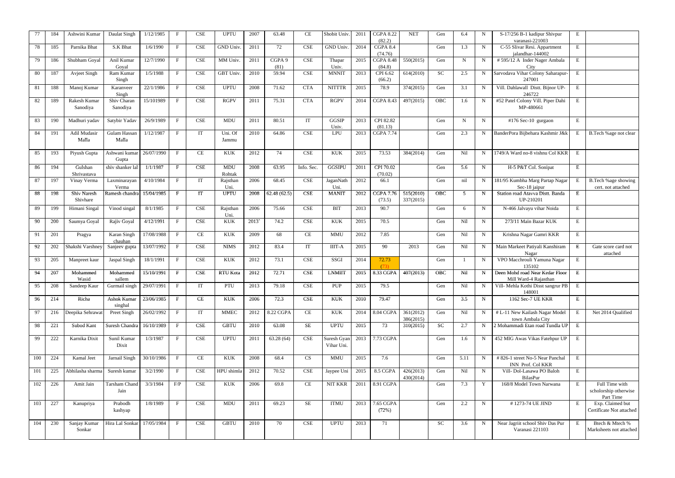| 77  | 184 | Ashwini Kumar           | Daulat Singh               | 1/12/1985  | $\mathbf{F}$ | CSE                         | <b>UPTU</b>          | 2007  | 63.48          | <b>CE</b>                   | Shobit Univ.                     | 2011 | <b>CGPA 8.22</b><br>(82.2)      | <b>NET</b>             | Gen       | 6.4  | N           | S-17/256 B-1 kadipur Shivpur<br>varanasi-221003            | E |                                                      |
|-----|-----|-------------------------|----------------------------|------------|--------------|-----------------------------|----------------------|-------|----------------|-----------------------------|----------------------------------|------|---------------------------------|------------------------|-----------|------|-------------|------------------------------------------------------------|---|------------------------------------------------------|
| 78  | 185 | Parnika Bhat            | S.K Bhat                   | 1/6/1990   | $\mathbf{F}$ | <b>CSE</b>                  | <b>GND Univ</b>      | 2011  | 72             | <b>CSE</b>                  | GND Univ.                        | 2014 | CGPA 8.4<br>(74.76)             |                        | Gen       | 1.3  | $\mathbf N$ | C-55 Slivar Resi. Appartment<br>jalandhar-144002           | E |                                                      |
| 79  | 186 | Shubham Goyal           | Anil Kumar<br>Goval        | 12/7/1990  | $\mathbf{F}$ | $\ensuremath{\mathsf{CSE}}$ | MM Univ.             | 2011  | CGPA 9<br>(81) | <b>CSE</b>                  | Thapar<br>Univ.                  | 2015 | <b>CGPA 8.48</b><br>(84.8)      | 550(2015)              | Gen       | N    | $\mathbf N$ | #595/12 A Inder Nager Ambala<br>City                       | E |                                                      |
| 80  | 187 | <b>Avject Singh</b>     | Ram Kumar<br>Singh         | 1/5/1988   | $\mathbf{F}$ | <b>CSE</b>                  | <b>GBT Univ</b>      | 2010  | 59.94          | $\ensuremath{\mathsf{CSE}}$ | <b>MNNIT</b>                     | 2013 | $\overline{CPI 6.62}$<br>(66.2) | 614(2010)              | SC        | 2.5  | $\mathbf N$ | Sarvodava Vihar Colony Saharapur-<br>247001                | E |                                                      |
| -81 | 188 | Manoj Kumar             | Karanveer                  | 22/1/1986  | $\mathbf{F}$ | <b>CSE</b>                  | <b>UPTU</b>          | 2008  | 71.62          | <b>CTA</b>                  | <b>NITTTR</b>                    | 2015 | 78.9                            | 374(2015)              | Gen       | 3.1  | N           | Vill. Dahlawall Distt. Bijnor UP-                          | E |                                                      |
| 82  | 189 | Rakesh Kumar            | Singh<br>Shiv Charan       | 15/101989  | $\mathbf{F}$ | CSE                         | <b>RGPV</b>          | 2011  | 75.31          | <b>CTA</b>                  | <b>RGPV</b>                      | 2014 | <b>CGPA 8.43</b>                | 497(2015)              | OBC       | 1.6  | $\mathbf N$ | 246722<br>#52 Patel Colony Vill. Piper Dahi                | E |                                                      |
|     |     | Sanodiya                | Sanodiya                   |            |              |                             |                      |       |                |                             |                                  |      |                                 |                        |           |      |             | MP-480661                                                  |   |                                                      |
| 83  | 190 | Madhuri yadav           | Satybir Yadav              | 26/9/1989  | $\mathbf{F}$ | CSE                         | <b>MDU</b>           | 2011  | 80.51          | IT                          | GGSIP<br>Univ.                   | 2013 | CPI 82.82<br>(81.13)            |                        | Gen       | N    | N           | $\overline{4176}$ Sec-10 gurgaon                           | E |                                                      |
| 84  | 191 | Adil Mudasir<br>Malla   | Gulam Hassan<br>Malla      | 1/12/1987  | $\mathbf{F}$ | IT                          | Uni. Of<br>Jammu     | 2010  | 64.86          | CSE                         | LPU                              | 2013 | <b>CGPA 7.74</b>                |                        | Gen       | 2.3  | N           | BanderPora Bijbehara Kashmir J&k                           | Е | B.Tech %age not clear                                |
| 85  | 193 | Piyush Gupta            | Ashwani kumar<br>Gupta     | 26/07/1990 | $\mathbf{F}$ | CE                          | <b>KUK</b>           | 2012  | 74             | <b>CSE</b>                  | <b>KUK</b>                       | 2015 | 73.53                           | 384(2014)              | Gen       | Nil  | N           | 1749/A Ward no-8 vishnu Col KKR                            | E |                                                      |
| 86  | 194 | Gulshan<br>Shrivastava  | shiv shanker lal           | 1/1/1987   | $\mathbf{F}$ | CSE                         | <b>MDU</b><br>Rohtak | 2008  | 63.95          | Info. Sec.                  | GGSIPU                           | 2011 | CPI 70.02<br>(70.02)            |                        | Gen       | 5.6  | $\mathbf N$ | H-5 P&T Col. Sonipat                                       | E |                                                      |
| 87  | 197 | Vinay Verma             | Laxminarayan<br>Verma      | 4/10/1984  | $\mathbf{F}$ | IT                          | Rajsthan<br>Uni.     | 2006  | 68.45          | <b>CSE</b>                  | JaganNath<br>Uni.                | 2012 | 66.1                            |                        | Gen       | nil  |             | 181/95 Kumbha Marg Partap Nagar<br>Sec-18 jaipur           | Е | B.Tech %age showing<br>cert. not attached            |
| 88  | 198 | Shiv Naresh<br>Shivhare | Ramesh chandra             | 15/04/1985 | $\mathbf{F}$ | IT                          | <b>UPTU</b>          | 2008  | 62.48(62.5)    | CSE                         | <b>MANIT</b>                     | 2012 | <b>CGPA 7.76</b><br>(73.5)      | 515(2010)<br>337(2015) | OBC       | 5    | N           | Station road Atavva Distt. Banda<br>UP-210201              | E |                                                      |
| 89  | 199 | Himani Singal           | Vinod singal               | 8/1/1985   | $\mathbf{F}$ | $\ensuremath{\mathsf{CSE}}$ | Rajsthan<br>Uni.     | 2006  | 75.66          | $\ensuremath{\mathsf{CSE}}$ | <b>BIT</b>                       | 2013 | 90.7                            |                        | Gen       | 6    | N           | N-466 Jalvayu vihar Noida                                  | E |                                                      |
| 90  | 200 | Saumya Goyal            | Rajiv Goyal                | 4/12/1991  | $\mathbf{F}$ | CSE                         | <b>KUK</b>           | 2013` | 74.2           | $\ensuremath{\mathsf{CSE}}$ | $\ensuremath{\text{KUK}}\xspace$ | 2015 | 70.5                            |                        | Gen       | Nil  | $N_{\rm}$   | 273/11 Main Bazar KUK                                      | E |                                                      |
| 91  | 201 | Pragya                  | Karan Singh<br>chauhan     | 17/08/1988 | $\mathbf{F}$ | CE                          | <b>KUK</b>           | 2009  | 68             | CE                          | <b>MMU</b>                       | 2012 | 7.85                            |                        | Gen       | Nil  | $N_{\rm c}$ | Krishna Nagar Gamri KKR                                    | E |                                                      |
| 92  | 202 | Shakshi Varshney        | Sanjeev gupta              | 13/07/1992 | $\mathbf{F}$ | CSE                         | <b>NIMS</b>          | 2012  | 83.4           | IT                          | <b>IIIT-A</b>                    | 2015 | 90                              | 2013                   | Gen       | Nil  | $\mathbf N$ | Main Markeet Patiyali Kanshiram<br>Nagar                   | E | Gate score card not<br>attached                      |
| 93  | 205 | Manpreet kaur           | Jaspal Singh               | 18/1/1991  | $\mathbf{F}$ | CSE                         | <b>KUK</b>           | 2012  | 73.1           | $\ensuremath{\mathsf{CSE}}$ | SSGI                             | 2014 | 72.73<br>(73)                   |                        | Gen       |      | $\mathbf N$ | VPO Macchrouli Yamuna Nagar<br>135102                      | E |                                                      |
| 94  | 207 | Mohammed<br>Wasid       | Mohammed<br>sallem         | 15/10/1991 | $\mathbf{F}$ | CSE                         | RTU Kota             | 2012  | 72.71          | <b>CSE</b>                  | <b>LNMIIT</b>                    | 2015 | 8.33 CGPA                       | 407(2013)              | OBC       | Nil  | N           | Deen Mohd road Near Kedar Floor<br>Mill Ward-4 Rajasthan   | E |                                                      |
| 95  | 208 | Sandeep Kaur            | Gurmail singh   29/07/1991 |            | $\mathbf{F}$ | IT                          | PTU                  | 2013  | 79.18          | <b>CSE</b>                  | PUP                              | 2015 | 79.5                            |                        | Gen       | Nil  |             | Vill- Mehla Kothi Disst sangrur PB<br>148001               | E |                                                      |
| 96  | 214 | Richa                   | Ashok Kumar<br>singhal     | 23/06/1985 | $\mathbf{F}$ | CE                          | <b>KUK</b>           | 2006  | 72.3           | CSE                         | $\ensuremath{\text{KUK}}\xspace$ | 2010 | 79.47                           |                        | Gen       | 3.5  | N           | 1162 Sec-7 UE KKR                                          | E |                                                      |
| 97  | 216 | Deepika Sehrawat        | Preet Singh                | 26/02/1992 | $\mathbf{F}$ | IT                          | <b>MMEC</b>          | 2012  | 8.22 CGPA      | CE                          | <b>KUK</b>                       |      | 2014 8.04 CGPA                  | 361(2012)<br>386(2015) | Gen       | Nil  | $\mathbf N$ | # L-11 New Kailash Nagar Model<br>town Ambala City         | E | Net 2014 Qualified                                   |
| 98  | 221 | Subod Kant              | Suresh Chandra 16/10/1989  |            | $\mathbf{F}$ | CSE                         | <b>GBTU</b>          | 2010  | 63.08          | SE                          | <b>UPTU</b>                      | 2015 | 73                              | 310(2015)              | SC        | 2.7  | $\mathbf N$ | 2 Mohammadi Etan road Tundla UP                            | E |                                                      |
| 99  | 222 | Karnika Dixit           | Sunil Kumar<br>Dixit       | 1/3/1987   | $\mathbf{F}$ | CSE                         | <b>UPTU</b>          | 2011  | 63.28(64)      | <b>CSE</b>                  | Suresh Gyan<br>Vihar Uni.        |      | 2013 7.73 CGPA                  |                        | Gen       | 1.6  | $\mathbf N$ | 452 MIG Awas Vikas Fatehpur UP                             | E |                                                      |
| 100 | 224 | Kamal Jeet              | Jarnail Singh              | 30/10/1986 | $\mathbf{F}$ | CE                          | <b>KUK</b>           | 2008  | 68.4           | CS                          | <b>MMU</b>                       | 2015 | 7.6                             |                        | Gen       | 5.11 | $\mathbf N$ | # 826-1 street No-5 Near Panchal                           | E |                                                      |
| 101 | 225 | Abhilasha sharma        | Suresh kumar               | 3/2/1990   | $\mathbf{F}$ | CSE                         | HPU shimla           | 2012  | 70.52          | <b>CSE</b>                  | Jaypee Uni                       | 2015 | 8.5 CGPA                        | 426(2013)<br>430(2014) | Gen       | Nil  | $\mathbf N$ | INN Prof. Col KKR<br>Vill- Dol-Lasawa PO Baloh<br>BilasPur | E |                                                      |
| 102 | 226 | Amit Jain               | Tarsham Chand<br>Jain      | 3/3/1984   | F/P          | CSE                         | <b>KUK</b>           | 2006  | 69.8           | CE                          | NIT KKR                          |      | 2011 8.91 CGPA                  |                        | Gen       | 7.3  | Y           | 168/8 Model Town Narwana                                   | E | Full Time with<br>scholorship otherwise<br>Part Time |
| 103 | 227 | Kanupriya               | Prabodh<br>kashyap         | 1/8/1989   | $\mathbf{F}$ | CSE                         | <b>MDU</b>           | 2011  | 69.23          | $\rm SE$                    | <b>ITMU</b>                      |      | 2013 7.65 CGPA<br>(72%)         |                        | Gen       | 2.2  | N           | #1273-74 UE JIND                                           | E | Exp. Claimed but<br>Certificate Not attached         |
| 104 | 230 | Sanjay Kumar<br>Sonkar  | Hira Lal Sonkar 17/05/1984 |            | $\mathbf{F}$ | <b>CSE</b>                  | <b>GBTU</b>          | 2010  | 70             | <b>CSE</b>                  | <b>UPTU</b>                      | 2013 | 71                              |                        | <b>SC</b> | 3.6  | $\mathbf N$ | Near Jagriit school Shiv Das Pur<br>Varanasi 221103        | E | Btech & Mtech %<br>Marksheets not attached           |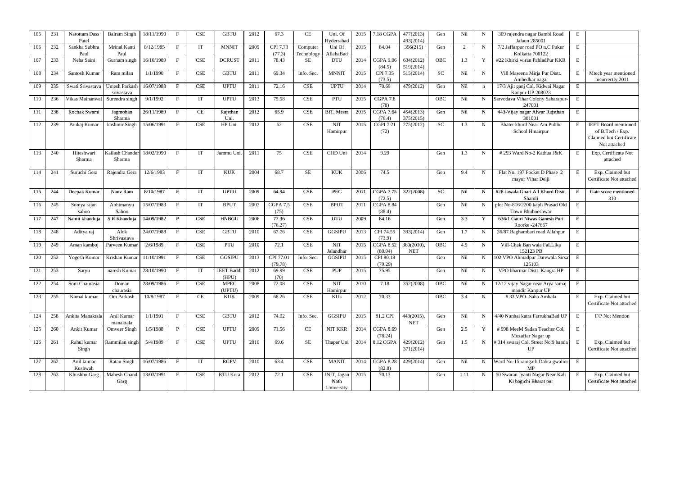| 105 | 231 | Narottam Dass<br>Patel | <b>Balram Singh</b>                | 18/11/1990 |              | CSE        | <b>GBTU</b>       | 2012 | 67.3            | <b>CE</b>  | Uni. Of<br>Hyderrabac | 2015 | 7.18 CGPA                  | 477(2013)<br>493(2014) | Gen       | Nil            | N           | 309 rajendra nagar Bambi Road<br>Jalaun 285001       | E              |                                             |
|-----|-----|------------------------|------------------------------------|------------|--------------|------------|-------------------|------|-----------------|------------|-----------------------|------|----------------------------|------------------------|-----------|----------------|-------------|------------------------------------------------------|----------------|---------------------------------------------|
| 106 | 232 | Sankha Subhra          | Mrinal Kanti                       | 8/12/1985  | $\mathbf{F}$ | IT         | <b>MNNIT</b>      | 2009 | CPI 7.73        | Computer   | Uni Of                | 2015 | 84.04                      | 356(215)               | Gen       | $\overline{2}$ | N           | 7/2 Jaffarpur road PO n.C Pukur                      | E              |                                             |
|     |     | Paul                   | Paul                               |            |              |            |                   |      | (77.3)          | Technology | AllahaBad             |      |                            |                        |           |                | Y           | Kolkatta 700122                                      |                |                                             |
| 107 | 233 | Neha Saini             | Gurnam singh                       | 16/10/1989 | $\mathbf{F}$ | CSE        | <b>DCRUST</b>     | 2011 | 78.43           | SE         | <b>DTU</b>            | 2014 | <b>CGPA 9.06</b><br>(84.5) | 634(2012)<br>519(2014) | OBC       | 1.3            |             | #22 Khirki wiran PahladPur KKR                       | $\mathbf E$    |                                             |
| 108 | 234 | Santosh Kumar          | Ram milan                          | 1/1/1990   | $\mathbf{F}$ | CSE        | <b>GBTU</b>       | 2011 | 69.34           | Info. Sec. | <b>MNNIT</b>          | 2015 | CPI 7.35                   | 515(2014)              | <b>SC</b> | Nil            | N           | Vill Maseena Mirja Pur Distt.                        | Е              | Mtech year mentioned                        |
|     |     |                        |                                    |            |              |            |                   |      |                 |            |                       |      | (73.5)                     |                        |           |                |             | Ambedkar nagar                                       |                | incorrectly 2011                            |
| 109 | 235 | Swati Srivastava       | <b>Umesh Parkash</b><br>srivastava | 16/07/1988 | $\mathbf F$  | CSE        | <b>UPTU</b>       | 2011 | 72.16           | <b>CSE</b> | <b>UPTU</b>           | 2014 | 70.69                      | 479(2012)              | Gen       | Nil            | n           | 17/3 Ajit ganj Col. Kidwai Nagar<br>Kanpur UP 208023 | $\mathbf E$    |                                             |
| 110 | 236 | Vikas Mainanwal        | Surendra singh                     | 9/1/1992   | $\mathbf{F}$ | IT         | <b>UPTU</b>       | 2013 | 75.58           | <b>CSE</b> | PTU                   | 2015 | $CGPA$ 7.8<br>(78)         |                        | OBC       | Nil            | N           | Sarvodava Vihar Colony Saharapur-<br>247001          | E              |                                             |
| 111 | 238 | Rochak Swami           | Jagmohan                           | 26/11/1989 | $\mathbf{F}$ | <b>CE</b>  | Rajsthan          | 2012 | 65.9            | <b>CSE</b> | BIT, Mesra            | 2015 | <b>CGPA 7.64</b>           | 454(2013)              | Gen       | Nil            | N           | 443-Vijay nagar Alwar Rajsthan                       | E              |                                             |
|     |     |                        | Sharma                             |            |              |            | Uni.              |      |                 |            |                       |      | (76.4)                     | 375(2015)              |           |                |             | 301001                                               |                |                                             |
| 112 | 239 | Pankaj Kumar           | kashmir Singh                      | 15/06/1991 | $\mathbf{F}$ | CSE        | HP Uni.           | 2012 | 62              | <b>CSE</b> | <b>NIT</b>            | 2015 | <b>CGPI 7.21</b>           | 275(2012)              | SC        | 1.3            | $\mathbf N$ | Bhater khurd Near Am Public                          | E              | <b>IEET</b> Board mentioned                 |
|     |     |                        |                                    |            |              |            |                   |      |                 |            | Hamirpur              |      | (72)                       |                        |           |                |             | School Hmairpur                                      |                | of B.Tech / Exp.<br>Claimed but Certificate |
|     |     |                        |                                    |            |              |            |                   |      |                 |            |                       |      |                            |                        |           |                |             |                                                      |                | Not attached                                |
| 113 | 240 | Hiteshwari             | Kailash Chander                    | 18/02/1990 | $\mathbf{F}$ | IT         | Jammu Uni.        | 2011 | 75              | <b>CSE</b> | CHD Uni               | 2014 | 9.29                       |                        | Gen       | 1.3            | N           | #293 Ward No-2 Kathua J&K                            | Е              | Exp. Certificate Not                        |
|     |     | Sharma                 | Sharma                             |            |              |            |                   |      |                 |            |                       |      |                            |                        |           |                |             |                                                      |                | attached                                    |
|     |     |                        |                                    |            |              |            |                   |      |                 |            |                       |      |                            |                        |           |                |             |                                                      |                |                                             |
| 114 | 241 | Suruchi Gera           | Rajendra Gera                      | 12/6/1983  | $\mathbf{F}$ | IT         | <b>KUK</b>        | 2004 | 68.7            | <b>SE</b>  | <b>KUK</b>            | 2006 | 74.5                       |                        | Gen       | 9.4            | $\mathbf N$ | Flat No. 197 Pocket D Phase 2                        | E              | Exp. Claimed but                            |
|     |     |                        |                                    |            |              |            |                   |      |                 |            |                       |      |                            |                        |           |                |             | mayur Vihar Delji                                    |                | Certificate Not attached                    |
|     |     |                        |                                    |            |              |            |                   |      |                 |            |                       |      |                            |                        |           |                |             |                                                      |                |                                             |
| 115 | 244 | Deepak Kumar           | Nanv Ram                           | 8/10/1987  | $\mathbf{F}$ | IT         | <b>UPTU</b>       | 2009 | 64.94           | <b>CSE</b> | PEC                   | 2011 | <b>CGPA 7.75</b>           | 322(2008)              | <b>SC</b> | Nil            | N           | #28 Jawala Ghari All Khurd Distt.                    | E              | Gate score mentioned                        |
| 116 | 245 |                        | Abhimanyu                          | 15/07/1983 | $\mathbf{F}$ | IT         | <b>BPUT</b>       | 2007 | <b>CGPA 7.5</b> | <b>CSE</b> | <b>BPUT</b>           | 2011 | (72.5)<br><b>CGPA 8.84</b> |                        | Gen       | Nil            | $\mathbf N$ | Shamli<br>plot No-816/2200 kapli Prasad Old          | $\overline{E}$ | 310                                         |
|     |     | Somya rajan<br>sahoo   | Sahoo                              |            |              |            |                   |      | (75)            |            |                       |      | (88.4)                     |                        |           |                |             | Town Bhubneshwar                                     |                |                                             |
| 117 | 247 | Namit khanduja         | S.R Khanduja                       | 14/09/1982 | P            | <b>CSE</b> | <b>HNBGU</b>      | 2006 | 77.36           | <b>CSE</b> | <b>UTU</b>            | 2009 | 84.16                      |                        | Gen       | 3.3            | Y           | 636/1 Gauri Niwas Ganesh Puri                        | E              |                                             |
|     |     |                        |                                    |            |              |            |                   |      | (76.27)         |            |                       |      |                            |                        |           |                |             | Roorke -247667                                       |                |                                             |
| 118 | 248 | Aditya raj             | Alok                               | 24/07/1988 | $\mathbf{F}$ | CSE        | <b>GBTU</b>       | 2010 | 67.76           | <b>CSE</b> | <b>GGSIPU</b>         | 2013 | CPI 74.55                  | 393(2014)              | Gen       | 1.7            | N           | 36/87 Baghambari road Allahpur                       | E              |                                             |
|     |     |                        | Shrivastava                        |            |              |            |                   |      |                 |            |                       |      | (73.9)                     |                        |           |                |             |                                                      |                |                                             |
| 119 | 249 | Aman kamboj            | Parveen Kumar                      | 2/6/1989   | $\mathbf{F}$ | CSE        | PTU               | 2010 | 72.1            | <b>CSE</b> | <b>NIT</b>            | 2015 | <b>CGPA 8.52</b>           | 360(2010),             | OBC       | 4.9            | $\mathbf N$ | Vill-Chak Ban wala FaLLIka                           | E              |                                             |
|     |     |                        | Krishan Kumar                      |            | $\mathbf{F}$ | CSE        | <b>GGSIPU</b>     |      | CPI 77.01       |            | Jalandhar             | 2015 | (80.94)                    | <b>NET</b>             |           |                |             | 152123 PB<br>102 VPO Ahmadpur Darewala Sirsa         |                |                                             |
| 120 | 252 | Yogesh Kumar           |                                    | 11/10/1991 |              |            |                   | 2013 | (79.78)         | Info. Sec. | <b>GGSIPU</b>         |      | CPI 80.18<br>(79.29)       |                        | Gen       | Nil            | $\mathbf N$ | 125103                                               | E              |                                             |
| 121 | 253 | Saryu                  | naresh Kumar                       | 28/10/1990 | $\mathbf{F}$ | IT         | <b>IEET Baddi</b> | 2012 | 69.99           | <b>CSE</b> | <b>PUP</b>            | 2015 | 75.95                      |                        | Gen       | Nil            | $\mathbf N$ | VPO bharmar Distt. Kangra HP                         | E              |                                             |
|     |     |                        |                                    |            |              |            | (HPU)             |      | (70)            |            |                       |      |                            |                        |           |                |             |                                                      |                |                                             |
| 122 |     | 254 Soni Chaurasia     | Doman                              | 28/09/1986 | $\mathbf{F}$ | <b>CSE</b> | <b>MPEC</b>       | 2008 | 72.08           | <b>CSE</b> | NIT                   | 2010 | 7.18                       | 352(2008)              | OBC       | Nil            |             | N 12/12 vijay Nagar near Arya samaj                  | E              |                                             |
|     |     |                        | chaurasia                          |            |              |            | (UPTU)            |      |                 |            | Hamirpur              |      |                            |                        |           |                |             | mandir Kanpur UP                                     |                |                                             |
| 123 | 255 | Kamal kumar            | Om Parkash                         | 10/8/1987  | $\mathbf{F}$ | CE         | <b>KUK</b>        | 2009 | 68.26           | <b>CSE</b> | KUk                   | 2012 | 70.33                      |                        | OBC       | 3.4            | N           | #33 VPO-Saha Ambala                                  | E              | Exp. Claimed but                            |
|     |     |                        |                                    |            |              |            |                   |      |                 |            |                       |      |                            |                        |           |                |             |                                                      |                | Certificate Not attached                    |
| 124 | 258 | Ankita Manaktala       | Anil Kumar                         | 1/1/1991   | $\mathbf{F}$ | CSE        | <b>GBTU</b>       | 2012 | 74.02           | Info. Sec. | <b>GGSIPU</b>         | 2015 | 81.2 CPI                   | 443(2015),             | Gen       | Nil            | $\mathbf N$ | 4/40 Nunhai katra FarrukhaBad UP                     | E              | F/P Not Mention                             |
|     |     |                        | manaktala                          |            |              |            |                   |      |                 |            |                       |      |                            | <b>NET</b>             |           |                |             |                                                      |                |                                             |
| 125 | 260 | Ankit Kumar            | Omveer Singh                       | 1/5/1988   | P            | CSE        | <b>UPTU</b>       | 2009 | 71.56           | CE         | NIT KKR               | 2014 | <b>CGPA 8.69</b>           |                        | Gen       | 2.5            | Y           | #998 MeeM Sadan Teacher Col.                         | E              |                                             |
|     |     |                        |                                    |            |              |            |                   |      |                 |            |                       |      | (78.24)                    |                        |           |                |             | Muzaffar Nagar up                                    |                |                                             |
| 126 | 261 | Rahul kumar            | Rammilan singh                     | 5/4/1989   | $\mathbf{F}$ | CSE        | <b>UPTU</b>       | 2010 | 69.6            | <b>SE</b>  | Thapar Uni            |      | 2014 8.12 CGPA             | 429(2012)              | Gen       | 1.5            |             | #314 swaraj Col. Street No.9 banda                   | E              | Exp. Claimed but                            |
|     |     | Singh                  |                                    |            |              |            |                   |      |                 |            |                       |      |                            | 371(2014)              |           |                |             | UP                                                   |                | Certificate Not attached                    |
| 127 | 262 |                        |                                    | 16/07/1986 | $\mathbf{F}$ | IT         | <b>RGPV</b>       | 2010 | 63.4            | <b>CSE</b> |                       | 2014 | <b>CGPA 8.28</b>           |                        | Gen       | Nil            |             |                                                      | E              |                                             |
|     |     | Anil kumar<br>Kushwah  | <b>Ratan Singh</b>                 |            |              |            |                   |      |                 |            | <b>MANIT</b>          |      | (82.8)                     | 429(2014)              |           |                | N           | Ward No-15 ramgarh Dabra gwalior<br>MP               |                |                                             |
| 128 | 263 | Khushbu Garg           | Mahesh Chand                       | 13/03/1991 | $\mathbf{F}$ | CSE        | RTU Kota          | 2012 | 72.1            | <b>CSE</b> | JNIT, Jagan           | 2015 | 70.13                      |                        | Gen       | 1.11           | $\mathbf N$ | 50 Swaran Jyanti Nagar Near Kali                     | E              | Exp. Claimed but                            |
|     |     |                        | Garg                               |            |              |            |                   |      |                 |            | Nath                  |      |                            |                        |           |                |             | Ki bagichi Bharat pur                                |                | Certificate Not attached                    |
|     |     |                        |                                    |            |              |            |                   |      |                 |            | University            |      |                            |                        |           |                |             |                                                      |                |                                             |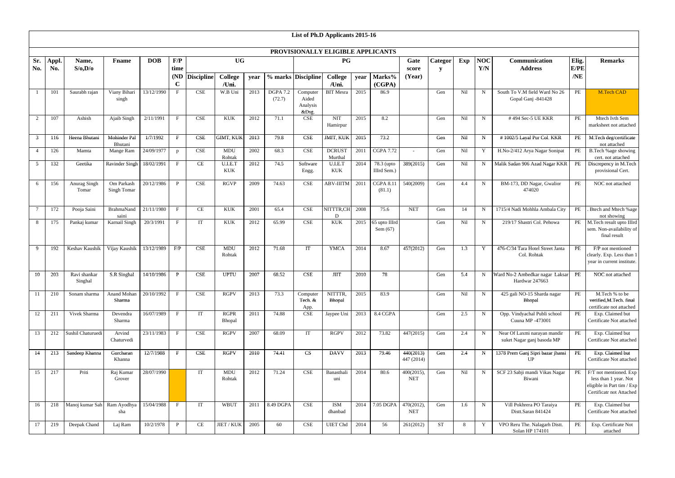|              |             |                             |                                |            |              |                   |                       |      |                           | List of Ph.D Applicants 2015-16   |                          |      |                             |                          |           |     |             |                                                            |          |                                                                                                           |
|--------------|-------------|-----------------------------|--------------------------------|------------|--------------|-------------------|-----------------------|------|---------------------------|-----------------------------------|--------------------------|------|-----------------------------|--------------------------|-----------|-----|-------------|------------------------------------------------------------|----------|-----------------------------------------------------------------------------------------------------------|
|              |             |                             |                                |            |              |                   |                       |      |                           | PROVISIONALLY ELIGIBLE APPLICANTS |                          |      |                             |                          |           |     |             |                                                            |          |                                                                                                           |
| Sr.          | <b>Appl</b> | Name,                       | <b>Fname</b>                   | <b>DOB</b> | F/P          |                   | <b>UG</b>             |      |                           |                                   | <b>PG</b>                |      |                             | Gate                     | Categor   | Exp | <b>NOC</b>  | Communication                                              | Elig.    | <b>Remarks</b>                                                                                            |
| No.          | No.         | S/O, D/O                    |                                |            | time         |                   |                       |      |                           |                                   |                          |      |                             | score                    | V         |     | Y/N         | <b>Address</b>                                             | E/PE     |                                                                                                           |
|              |             |                             |                                |            | (ND)         | <b>Discipline</b> | <b>College</b>        | year |                           | % marks Discipline                | <b>College</b>           | year | Marks%                      | (Year)                   |           |     |             |                                                            | /NE      |                                                                                                           |
|              |             |                             |                                |            | $\mathbf C$  |                   | /Uni.                 |      |                           |                                   | /Uni.                    |      | (CGPA)                      |                          |           |     |             |                                                            |          |                                                                                                           |
|              | 101         | Saurabh rajan               | Viany Bihari<br>singh          | 13/12/1990 | F            | CSE               | W.B Uni               | 2013 | <b>DGPA 7.2</b><br>(72.7) | Computer<br>Aided                 | <b>BIT</b> Mesra         | 2015 | 86.9                        |                          | Gen       | Nil | $\mathbf N$ | South To V.M field Ward No 26<br>Gopal Ganj -841428        | PE       | M.Tech CAD                                                                                                |
|              |             |                             |                                |            |              |                   |                       |      |                           | Analysis<br>&Dsg.                 |                          |      |                             |                          |           |     |             |                                                            |          |                                                                                                           |
| 2            | 107         | Ashish                      | Ajaib Singh                    | 2/11/1991  | $\mathbf{F}$ | CSE               | <b>KUK</b>            | 2012 | 71.1                      | <b>CSE</b>                        | <b>NIT</b><br>Hamirpur   | 2015 | 8.2                         |                          | Gen       | Nil | N           | #494 Sec-5 UE KKR                                          | PE       | Mtech Ivth Sem<br>marksheet not attached                                                                  |
| $\mathbf{3}$ | 116         | Heena Bhutani               | <b>Mohinder Pal</b><br>Bhutani | 1/7/1992   | $\mathbf{F}$ | CSE               | GIMT, KUK             | 2013 | 79.8                      | <b>CSE</b>                        | JMIT, KUK                | 2015 | 73.2                        |                          | Gen       | Nil | $\mathbf N$ | #1002/5 Layal Pur Col. KKR                                 | PE       | M.Tech deg/certificate<br>not attached                                                                    |
|              | 126         | Mamta                       | Mange Ram                      | 24/09/1977 | $\mathbf{p}$ | CSE               | <b>MDU</b><br>Rohtak  | 2002 | 68.3                      | <b>CSE</b>                        | <b>DCRUST</b><br>Murthal | 2011 | <b>CGPA 7.72</b>            |                          | Gen       | Nil | Y           | H.No-2/412 Arya Nagar Sonipat                              | PE       | B.Tech %age showing<br>cert. not attached                                                                 |
| 5            | 132         | Geetika                     | Ravinder Singh                 | 18/02/1991 | $\mathbf{F}$ | CE                | U.I.E.T<br><b>KUK</b> | 2012 | 74.5                      | Software<br>Engg.                 | U.I.E.T<br><b>KUK</b>    | 2014 | 78.3 (upto<br>IIIrd Sem.)   | 389(2015)                | Gen       | Nil | $\mathbf N$ | Malik Sadan 906 Azad Nagar KKR                             | PE       | Discrepency in $\overline{M}$ . Tech<br>provisional Cert.                                                 |
| 6            | 156         | Anurag Singh<br>Tomar       | Om Parkash<br>Singh Tomar      | 20/12/1986 | P            | CSE               | <b>RGVP</b>           | 2009 | 74.63                     | <b>CSE</b>                        | <b>ABV-IIITM</b>         | 2011 | <b>CGPA 8.11</b><br>(81.1)  | 540(2009)                | Gen       | 4.4 | $\mathbf N$ | BM-173, DD Nagar, Gwalior<br>474020                        | PE       | NOC not attached                                                                                          |
|              | 172         | Pooja Saini                 | <b>BrahmaNand</b><br>saini     | 21/11/1980 | $\mathbf F$  | <b>CE</b>         | <b>KUK</b>            | 2001 | 65.4                      | <b>CSE</b>                        | NITTTR,CH<br>D           | 2008 | 75.6                        | <b>NET</b>               | Gen       | 14  | N           | 1715/4 Nadi Mohhla Ambala City                             | PE       | Btech and Mtech %age<br>not showing                                                                       |
| 8            | 175         | Pankaj kumar                | Karnail Singh                  | 20/3/1991  | $\mathbf{F}$ | IT                | <b>KUK</b>            | 2012 | 65.99                     | <b>CSE</b>                        | <b>KUK</b>               | 2015 | 65 upto IIIrd<br>Sem $(67)$ |                          | Gen       | Nil | $\mathbf N$ | 219/17 Shastri Col. Pehowa                                 |          | PE M.Tech result upto IIIrd<br>sem. Non-availability of<br>final result                                   |
| 9            | 192         | Keshav Kaushik              | Vijay Kaushik                  | 13/12/1989 | F/P          | <b>CSE</b>        | <b>MDU</b><br>Rohtak  | 2012 | 71.68                     | IT                                | <b>YMCA</b>              | 2014 | 8.67                        | 457(2012)                | Gen       | 1.3 | $\mathbf Y$ | 476-C/34 Tara Hotel Street Janta<br>Col. Rohtak            | PE       | F/P not mentioned<br>clearly. Exp. Less than 1<br>year in current institute.                              |
| 10           | 203         | Ravi shankar<br>Singhal     | S.R Singhal                    | 14/10/1986 | P            | <b>CSE</b>        | <b>UPTU</b>           | 2007 | 68.52                     | <b>CSE</b>                        | JIIT                     | 2010 | 78                          |                          | Gen       | 5.4 | N           | Ward No-2 Ambedkar nagar Laksar<br>Hardwar 247663          | PE       | NOC not attached                                                                                          |
| 11           | 210         | Sonam sharma                | Anand Mohan<br>Sharma          | 20/10/1992 | $\mathbf{F}$ | <b>CSE</b>        | <b>RGPV</b>           | 2013 | 73.3                      | Computer<br>Tech. &<br>App.       | NITTTR,<br>Bhopal        | 2015 | 83.9                        |                          | Gen       | Nil | $\mathbf N$ | 425 gali NO-15 Sharda nagar<br>Bhopal                      | PE       | M.Tech % to be<br>verified, M.Tech. final<br>certificate not attached                                     |
| 12           | 211         | Vivek Sharma                | Devendra<br>Sharma             | 16/07/1989 | $\mathbf{F}$ | IT                | <b>RGPR</b><br>Bhopal | 2011 | 74.88                     | CSE                               | Jaypee Uni               | 2013 | 8.4 CGPA                    |                          | Gen       | 2.5 | $\mathbf N$ | Opp. Vindyachal Publi school<br>Cuuna MP -473001           | PE       | Exp. Claimed but<br>Certificate Not attached                                                              |
| 13           | 212         | Sushil Chaturuedi           | Arvind<br>Chaturvedi           | 23/11/1983 | $\mathbf{F}$ | CSE               | <b>RGPV</b>           | 2007 | 68.09                     | IT                                | <b>RGPV</b>              | 2012 | 73.82                       | 447(2015)                | Gen       | 2.4 | $\mathbf N$ | Near Of Laxmi narayan mandir<br>suket Nagar ganj basoda MP | PE       | Exp. Claimed but<br>Certificate Not attached                                                              |
| 14           | 213         | Sandeep Khanna              | Gurcharan<br>Khanna            | 12/7/1988  | $\mathbf{F}$ | <b>CSE</b>        | <b>RGPV</b>           | 2010 | 74.41                     | $\overline{\text{CS}}$            | <b>DAVV</b>              | 2013 | 79.46                       | 440(2013)<br>447 (2014)  | Gen       | 2.4 | $\mathbf N$ | 1378 Prem Ganj Sipri bazar jhansi<br>UP                    | PE       | Exp. Claimed but<br>Certificate Not attached                                                              |
| 15           | 217         | Priti                       | Raj Kumar<br>Grover            | 28/07/1990 |              | IT                | <b>MDU</b><br>Rohtak  | 2012 | 71.24                     | <b>CSE</b>                        | Banasthali<br>uni        | 2014 | 80.6                        | 400(2015),<br><b>NET</b> | Gen       | Nil | $\mathbf N$ | SCF 23 Sabji mandi Vikas Nagar<br>Biwani                   | PE       | F/T not mentioned. Exp<br>less than 1 year. Not<br>eligible in Part tim / Exp<br>Certificatr not Attached |
| 16           | 218         | Manoj kumar Sah Ram Ayodhya | sha                            | 15/04/1988 | $\mathbf{F}$ | IT                | <b>WBUT</b>           | 2011 | 8.49 DGPA                 | <b>CSE</b>                        | ISM<br>dhanbad           | 2014 | 7.05 DGPA                   | 470(2012),<br><b>NET</b> | Gen       | 1.6 | $\mathbf N$ | Vill Pokhrera PO Taraiya<br>Distt.Saran 841424             | PE       | Exp. Claimed but<br>Certificate Not attached                                                              |
| 17           | 219         | Deepak Chand                | Laj Ram                        | 10/2/1978  | $\mathbf{P}$ | $\rm CE$          | JIET / KUK            | 2005 | 60                        | <b>CSE</b>                        | <b>UIET</b> Chd          | 2014 | 56                          | 261(2012)                | <b>ST</b> | 8   | Y           | VPO Reru The. Nalagarh Distt.<br>Solan HP 174101           | $\rm PE$ | Exp. Certificate Not<br>attached                                                                          |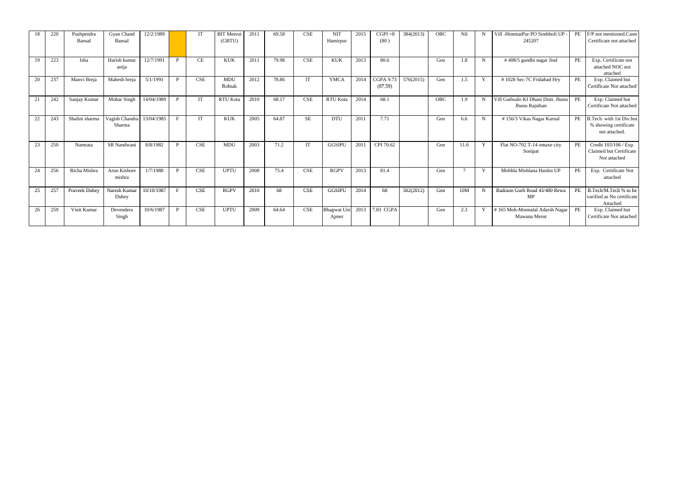| 18 | 220 | Pushpendra<br>Bansal | Gyan Chand<br>Bansal     | 12/2/1989  |              | IT         | <b>BIT</b> Meerut<br>(GBTU) | 2011 | 69.58 | <b>CSE</b> | <b>NIT</b><br>Hamirpur      | 2015 | $CGPI = 8$<br>(80)          | 384(2013) | OBC        | Nil     |              | Vill -HimmatPur PO Simbholi UP<br>245207             | PE        | F/P not mentioned.Caste<br>Certificate not attached               |
|----|-----|----------------------|--------------------------|------------|--------------|------------|-----------------------------|------|-------|------------|-----------------------------|------|-----------------------------|-----------|------------|---------|--------------|------------------------------------------------------|-----------|-------------------------------------------------------------------|
| 19 | 223 | Isha                 | Harish kumar<br>anija    | 12/7/1991  | P            | CE         | KUK                         | 2011 | 79.98 | <b>CSE</b> | <b>KUK</b>                  | 2013 | 80.6                        |           | Gen        | 1.8     | N            | #408/5 gandhi nagar Jind                             | PE        | Exp. Certificate not<br>attached NOC not<br>attached              |
| 20 | 237 | Manvi Breja          | Mahesh breja             | 5/1/1991   | $\mathbf{P}$ | CSE        | <b>MDU</b><br>Rohtak        | 2012 | 78.86 | IT         | <b>YMCA</b>                 | 2014 | <b>CGPA 9.73</b><br>(87.59) | 576(2015) | Gen        | $1.5\,$ | Y            | #1028 Sec-7C Fridabad Hry                            | PE        | Exp. Claimed but<br>Certificate Not attached                      |
| 21 | 242 | Sanjay Kumar         | Mohar Singh              | 14/04/1989 | P            | IT         | <b>RTU Kota</b>             | 2010 | 68.17 | <b>CSE</b> | <b>RTU Kota</b>             | 2014 | 68.1                        |           | <b>OBC</b> | 1.9     |              | Vill Gadwalo KI Dhani Distt. Jhunu<br>Jhunu Rajsthan | PE        | Exp. Claimed but<br>Certificate Not attached                      |
| 22 | 243 | Shalini sharma       | Vagish Chandra<br>Sharma | 13/04/1985 | $\mathbf{F}$ | <b>IT</b>  | <b>KUK</b>                  | 2005 | 64.87 | <b>SE</b>  | <b>DTU</b>                  | 2011 | 7.71                        |           | Gen        | 6.6     | N            | #156/3 Vikas Nagar Karnal                            | PE        | B.Tech with 1st Div.but<br>% showing certificate<br>not attached. |
| 23 | 250 | Namrata              | SR Nandwani              | 8/8/1982   | P            | <b>CSE</b> | <b>MDU</b>                  | 2003 | 71.2  | IT         | <b>GGSIPU</b>               | 2011 | CPI 70.62                   |           | Gen        | 11.6    | <b>V</b>     | Flat NO-702 T-14 omaxe city<br>Sonipat               | PE        | Credit 103/106 / Exp.<br>Claimed but Certificate<br>Not attached  |
| 24 | 256 | Richa Mishra         | Arun Kishore<br>mishra   | 1/7/1988   | P            | <b>CSE</b> | <b>UPTU</b>                 | 2008 | 75.4  | <b>CSE</b> | <b>RGPV</b>                 | 2013 | 81.4                        |           | Gen        |         | $\mathbf{Y}$ | Mohhla Mishlana Hardoi UP                            | PE        | Exp. Certificate Not<br>attached                                  |
| 25 | 257 | Praveek Dubey        | Naresh Kumar<br>Dubey    | 10/10/1987 | $\mathbf{F}$ | <b>CSE</b> | <b>RGPV</b>                 | 2010 | 68    | <b>CSE</b> | <b>GGSIPU</b>               | 2014 | 68                          | 502(2012) | Gen        | 10M     |              | Badraon Gurh Road 43/480 Rewa<br>MP                  | PE        | B.Tech/M.Tech % to be<br>varified as No certificate<br>Attached   |
| 26 | 259 | Vinit Kumar          | Devendera<br>Singh       | 10/6/1987  | $\mathbf{P}$ | <b>CSE</b> | <b>UPTU</b>                 | 2009 | 64.64 | <b>CSE</b> | <b>Bhagwat Uni</b><br>Ajmer | 2013 | 7.83 CGPA                   |           | Gen        | 2.3     | $\mathbf{Y}$ | #165 Moh-Monnalal Adarsh Nagar<br>Mawana Merut       | <b>PE</b> | Exp. Claimed but<br>Certificate Not attached                      |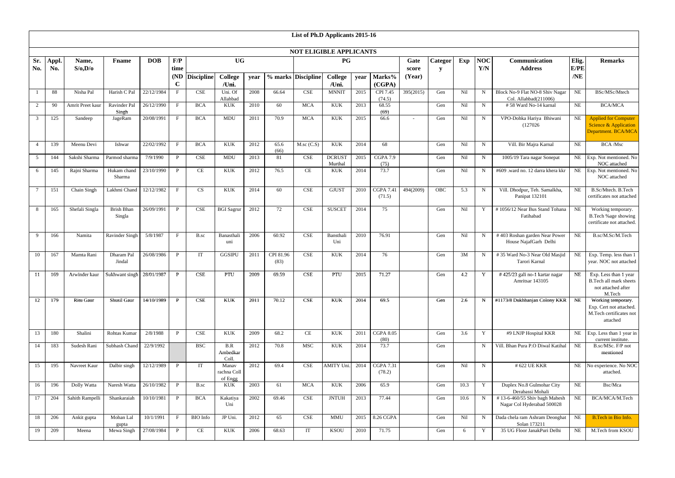|                |              |                   |                             |            |                     |                             |                                  |      |                   | List of Ph.D Applicants 2015-16 |                          |      |                            |               |              |      |                   |                                                             |               |                                                                                      |
|----------------|--------------|-------------------|-----------------------------|------------|---------------------|-----------------------------|----------------------------------|------|-------------------|---------------------------------|--------------------------|------|----------------------------|---------------|--------------|------|-------------------|-------------------------------------------------------------|---------------|--------------------------------------------------------------------------------------|
|                |              |                   |                             |            |                     |                             |                                  |      |                   | <b>NOT ELIGIBLE APPLICANTS</b>  |                          |      |                            |               |              |      |                   |                                                             |               |                                                                                      |
| Sr.<br>No.     | Appl.<br>No. | Name,<br>S/O, D/O | <b>Fname</b>                | <b>DOB</b> | F/P<br>time         |                             | <b>UG</b>                        |      |                   |                                 | P G                      |      |                            | Gate<br>score | Categor<br>V | Exp  | <b>NOC</b><br>Y/N | Communication<br><b>Address</b>                             | Elig.<br>E/PE | <b>Remarks</b>                                                                       |
|                |              |                   |                             |            | (ND)<br>$\mathbf C$ | <b>Discipline</b>           | <b>College</b><br>/Uni.          | year |                   | % marks Discipline              | <b>College</b><br>/Uni.  | year | Marks%<br>(CGPA)           | (Year)        |              |      |                   |                                                             | /NE           |                                                                                      |
|                | 88           | Nisha Pal         | Harish C Pal                | 22/12/1984 | $\mathbf{F}$        | $\ensuremath{\mathsf{CSE}}$ | Uni. Of<br>Allahbad              | 2008 | 66.64             | $\ensuremath{\mathsf{CSE}}$     | <b>MNNIT</b>             | 2015 | CPI 7.45<br>(74.5)         | 395(2015)     | Gen          | Nil  | N                 | Block No-9 Flat NO-8 Shiv Nagar<br>Col. Allahbad(211006)    | <b>NE</b>     | BSc/MSc/Mtech                                                                        |
| 2              | 90           | Amrit Preet kaur  | Ravinder Pal<br>Singh       | 26/12/1990 | $\mathbf{F}$        | <b>BCA</b>                  | <b>KUK</b>                       | 2010 | 60                | <b>MCA</b>                      | <b>KUK</b>               | 2013 | 68.55<br>(69)              |               | Gen          | Nil  | $\mathbf N$       | #58 Ward No-14 karnal                                       | <b>NE</b>     | <b>BCA/MCA</b>                                                                       |
| 3              | 125          | Sandeep           | JageRam                     | 20/08/1991 | $\mathbf{F}$        | <b>BCA</b>                  | <b>MDU</b>                       | 2011 | 70.9              | <b>MCA</b>                      | <b>KUK</b>               | 2015 | 66.6                       |               | Gen          | Nil  | $\mathbf N$       | VPO-Dohka Hariya Bhiwani<br>(127026)                        | NE            | <b>Applied for Computer</b><br>Science & Application<br>Department. BCA/MCA          |
| $\overline{4}$ | 139          | Meenu Devi        | Ishwar                      | 22/02/1992 | $\mathbf{F}$        | <b>BCA</b>                  | <b>KUK</b>                       | 2012 | 65.6<br>(66)      | $M$ .sc $(C.S)$                 | <b>KUK</b>               | 2014 | 68                         |               | Gen          | Nil  | $\mathbf N$       | Vill. Bir Majra Karnal                                      | NE            | <b>BCA</b> /Msc                                                                      |
| 5              | 144          | Sakshi Sharma     | Parmod sharma               | 7/9/1990   | $\mathbf{P}$        | $\ensuremath{\mathsf{CSE}}$ | <b>MDU</b>                       | 2013 | 81                | $\ensuremath{\mathsf{CSE}}$     | <b>DCRUST</b><br>Murthal | 2015 | <b>CGPA 7.9</b><br>(75)    |               | Gen          | Nil  | $\mathbf N$       | 1005/19 Tara nagar Sonepat                                  |               | NE Exp. Not mentioned. No<br>NOC attached                                            |
| 6              | 145          | Rajni Sharma      | Hukam chand<br>Sharma       | 23/10/1990 | P                   | CE                          | <b>KUK</b>                       | 2012 | 76.5              | CE                              | <b>KUK</b>               | 2014 | 73.7                       |               | Gen          | Nil  | N                 | #609 .ward no. 12 darra khera kkr                           |               | NE Exp. Not mentioned. No<br>NOC attached                                            |
|                | 151          | Chain Singh       | Lakhmi Chand                | 12/12/1982 | $\mathbf{F}$        | CS                          | <b>KUK</b>                       | 2014 | 60                | $\ensuremath{\mathsf{CSE}}$     | <b>GJUST</b>             | 2010 | <b>CGPA 7.41</b><br>(71.5) | 494(2009)     | OBC          | 5.3  | N                 | Vill. Dhodpur, Teh. Samalkha,<br>Panipat 132101             | <b>NE</b>     | B.Sc/Mtech. B.Tech<br>certificates not attached                                      |
| 8              | 165          | Shefali Singla    | <b>Brish Bhan</b><br>Singla | 26/09/1991 | P                   | <b>CSE</b>                  | <b>BGI</b> Sagrur                | 2012 | 72                | <b>CSE</b>                      | <b>SUSCET</b>            | 2014 | 75                         |               | Gen          | Nil  | Y                 | #1056/12 Near Bus Stand Tohana<br>Fatihabad                 | <b>NE</b>     | Working temporary.<br>B.Tech %age showing<br>certificate not attached.               |
| -9             | 166          | Namita            | Ravinder Singh              | 5/8/1987   | $\mathbf{F}$        | B.sc                        | Banasthali<br>uni                | 2006 | 60.92             | <b>CSE</b>                      | Bansthali<br>Uni         | 2010 | 76.91                      |               | Gen          | Nil  | N                 | #403 Roshan garden Near Power<br>House NajafGarh Delhi      | NE            | B.sc/M.Sc/M.Tech                                                                     |
| 10             | 167          | Mamta Rani        | Dharam Pal<br>Jindal        | 26/08/1986 | P                   | IT                          | <b>GGSIPU</b>                    | 2011 | CPI 81.96<br>(83) | CSE                             | <b>KUK</b>               | 2014 | 76                         |               | Gen          | 3M   | N                 | #35 Ward No-3 Near Old Masjid<br>Tarori Karnal              | NE            | Exp. Temp. less than 1<br>year. NOC not attached                                     |
| -11            | 169          | Arwinder kaur     | Sukhwant singh 28/01/1987   |            | P                   | <b>CSE</b>                  | PTU                              | 2009 | 69.59             | <b>CSE</b>                      | PTU                      | 2015 | 71.27                      |               | Gen          | 4.2  | Y                 | #425/23 gali no-1 kartar nagar<br>Amritsar 143105           | NE            | Exp. Less than 1 year<br>B.Tech all mark sheets<br>not attached after<br>M.Tech      |
| 12             | 179          | Ritu Gaur         | Shusil Gaur                 | 14/10/1989 | $\mathbf{P}$        | <b>CSE</b>                  | <b>KUK</b>                       | 2011 | 70.12             | CSE                             | <b>KUK</b>               | 2014 | 69.5                       |               | Gen          | 2.6  | $\mathbf N$       | #1173/8 Dukhbanjan Colony KKR                               | <b>NE</b>     | Working temporary.<br>Exp. Cert not attached.<br>M.Tech certificates not<br>attached |
| 13             | 180          | Shalini           | Rohtas Kumar                | 2/8/1988   | $\mathbf{P}$        | $\ensuremath{\mathsf{CSE}}$ | <b>KUK</b>                       | 2009 | 68.2              | CE                              | KUK                      | 2011 | <b>CGPA 8.05</b><br>(80)   |               | Gen          | 3.6  | Y                 | #9 LNJP Hospital KKR                                        | NE            | Exp. Less than 1 year in<br>current institute.                                       |
| 14             | 183          | Sudesh Rani       | Subhash Chand               | 22/9/1992  |                     | <b>BSC</b>                  | B.R<br>Ambedkar<br>Coll.         | 2012 | 70.8              | MSC                             | <b>KUK</b>               | 2014 | 73.7                       |               | Gen          |      | N                 | Vill. Bhan Pura P.O Diwal Katihal                           | NE            | B.sc/MSc. F/P not<br>mentioned                                                       |
| 15             | 195          | Navreet Kaur      | Dalbir singh                | 12/12/1989 | $\mathbf{P}$        | $\mathbf{I}\mathbf{T}$      | Manav<br>rachna Coll<br>of Engg  | 2012 | 69.4              | CSE                             | AMITY Uni.               | 2014 | <b>CGPA 7.31</b><br>(78.2) |               | Gen          | Nil  | $N_{\rm}$         | # 622 UE KKR                                                | NE            | No experience. No NOC<br>attached.                                                   |
| 16             | 196          | Dolly Watta       | Naresh Watta                | 26/10/1982 | P                   | B.sc                        | <b>KUK</b>                       | 2003 | 61                | <b>MCA</b>                      | <b>KUK</b>               | 2006 | 65.9                       |               | Gen          | 10.3 | Y                 | Duplex No.8 Gulmohar City<br>Derabassi Mohali               | NE            | Bsc/Mca                                                                              |
| 17             | 204          | Sahith Rampelli   | Shankaraiah                 | 10/10/1981 | $\mathbf{P}$        | <b>BCA</b>                  | Kakatiya<br>Uni                  | 2002 | 69.46             | CSE                             | <b>JNTUH</b>             | 2013 | 77.44                      |               | Gen          | 10.6 | N                 | #13-6-460/55 Shiv bagh Mahesh<br>Nagar Col Hyderabad 500028 | <b>NE</b>     | BCA/MCA/M.Tech                                                                       |
| 18             | 206          | Ankit gupta       | Mohan Lal<br>gupta          | 10/1/1991  | $\mathbf{F}$        | BIO Info                    | JP Uni.                          | 2012 | 65                | <b>CSE</b>                      | MMU                      |      | 2015 8.26 CGPA             |               | Gen          | Nil  | $\mathbf N$       | Dada chela ram Ashram Deonghat<br>Solan 173211              | <b>NE</b>     | <b>B.Tech in Bio Info.</b>                                                           |
| 19             | 209          | Meena             | Mewa Singh                  | 27/08/1984 | $\mathbf{P}$        | CE                          | $\ensuremath{\text{KUK}}\xspace$ | 2006 | 68.63             | IT                              | <b>KSOU</b>              | 2010 | 71.75                      |               | Gen          | -6   | Y                 | 35 UG Floor JanakPuri Delhi                                 | <b>NE</b>     | M.Tech from KSOU                                                                     |